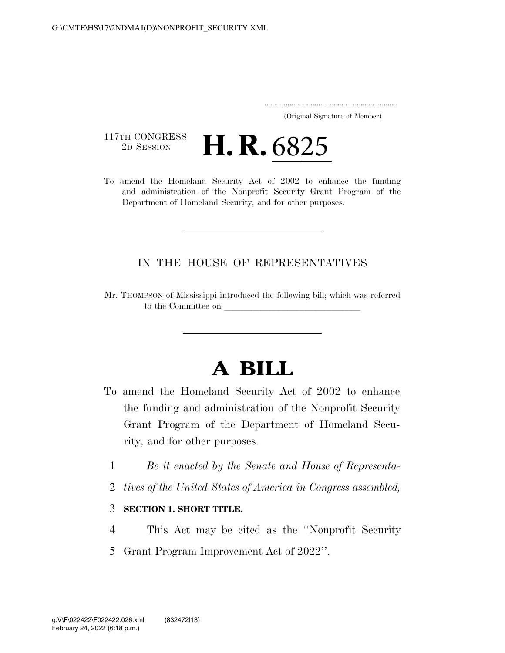..................................................................... (Original Signature of Member)

117TH CONGRESS<br>2D SESSION

 $\frac{117 \text{TH CONGRES}}{2\text{D} \text{ SESSION}}$  **H. R. 6825**<br>To amend the Homeland Security Act of 2002 to enhance the funding and administration of the Nonprofit Security Grant Program of the Department of Homeland Security, and for other purposes.

## IN THE HOUSE OF REPRESENTATIVES

Mr. THOMPSON of Mississippi introduced the following bill; which was referred to the Committee on

## **A BILL**

- To amend the Homeland Security Act of 2002 to enhance the funding and administration of the Nonprofit Security Grant Program of the Department of Homeland Security, and for other purposes.
	- 1 *Be it enacted by the Senate and House of Representa-*
	- 2 *tives of the United States of America in Congress assembled,*

## 3 **SECTION 1. SHORT TITLE.**

- 4 This Act may be cited as the ''Nonprofit Security
- 5 Grant Program Improvement Act of 2022''.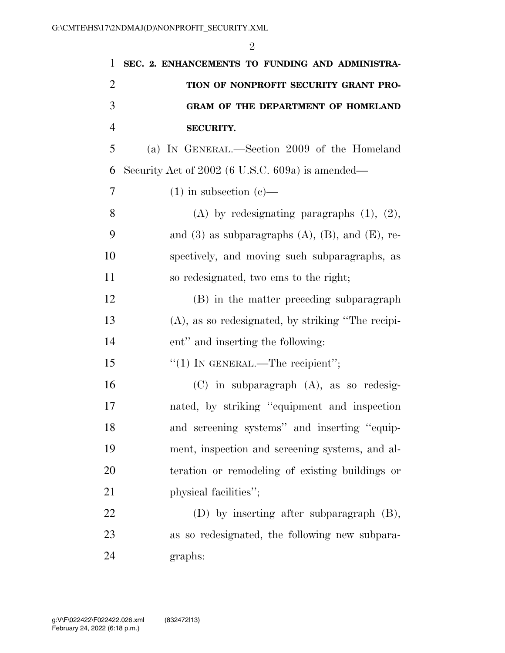| 1              | SEC. 2. ENHANCEMENTS TO FUNDING AND ADMINISTRA-          |
|----------------|----------------------------------------------------------|
| $\overline{2}$ | TION OF NONPROFIT SECURITY GRANT PRO-                    |
| 3              | <b>GRAM OF THE DEPARTMENT OF HOMELAND</b>                |
| $\overline{4}$ | <b>SECURITY.</b>                                         |
| 5              | (a) IN GENERAL.—Section 2009 of the Homeland             |
| 6              | Security Act of 2002 (6 U.S.C. 609a) is amended—         |
| 7              | $(1)$ in subsection $(e)$ —                              |
| 8              | (A) by redesignating paragraphs $(1)$ , $(2)$ ,          |
| 9              | and (3) as subparagraphs $(A)$ , $(B)$ , and $(E)$ , re- |
| 10             | spectively, and moving such subparagraphs, as            |
| 11             | so redesignated, two ems to the right;                   |
| 12             | (B) in the matter preceding subparagraph                 |
| 13             | $(A)$ , as so redesignated, by striking "The recipi-     |
| 14             | ent" and inserting the following:                        |
| 15             | "(1) IN GENERAL.—The recipient";                         |
| 16             | $(C)$ in subparagraph $(A)$ , as so redesig-             |
| 17             | nated, by striking "equipment and inspection             |
| 18             | and screening systems" and inserting "equip-             |
| 19             | ment, inspection and screening systems, and al-          |
| 20             | teration or remodeling of existing buildings or          |
| 21             | physical facilities";                                    |
| 22             | (D) by inserting after subparagraph (B),                 |
| 23             | as so redesignated, the following new subpara-           |
| 24             | graphs:                                                  |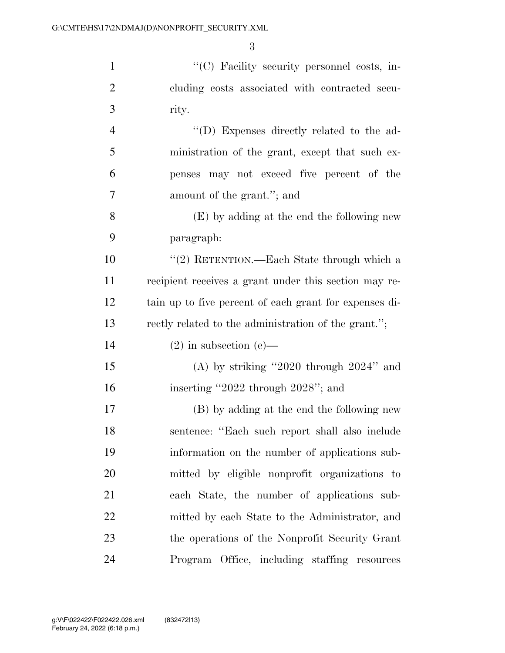1  $\langle ^{\prime}(C) \rangle$  Facility security personnel costs, in-

 cluding costs associated with contracted secu- rity.  $''(D)$  Expenses directly related to the ad- ministration of the grant, except that such ex- penses may not exceed five percent of the amount of the grant.''; and (E) by adding at the end the following new paragraph: ''(2) RETENTION.—Each State through which a recipient receives a grant under this section may re- tain up to five percent of each grant for expenses di- rectly related to the administration of the grant.''; 14 (2) in subsection (e)— (A) by striking ''2020 through 2024'' and inserting ''2022 through 2028''; and (B) by adding at the end the following new sentence: ''Each such report shall also include information on the number of applications sub- mitted by eligible nonprofit organizations to each State, the number of applications sub- mitted by each State to the Administrator, and the operations of the Nonprofit Security Grant Program Office, including staffing resources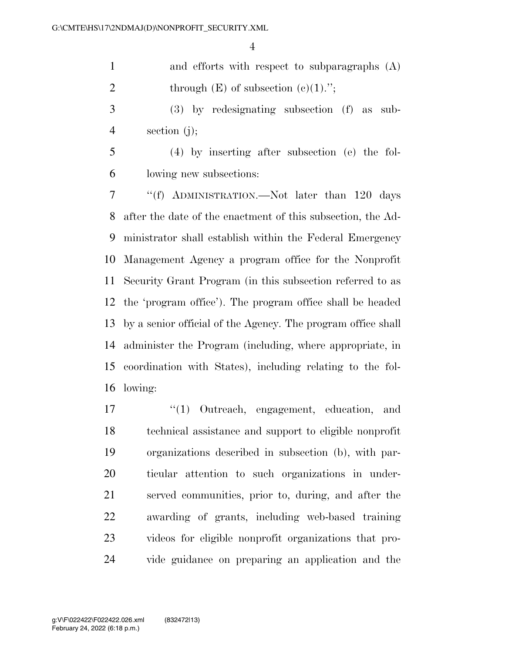and efforts with respect to subparagraphs (A) 2 through  $(E)$  of subsection  $(e)(1)$ .";

 (3) by redesignating subsection (f) as sub-section (j);

 (4) by inserting after subsection (e) the fol-lowing new subsections:

 ''(f) ADMINISTRATION.—Not later than 120 days after the date of the enactment of this subsection, the Ad- ministrator shall establish within the Federal Emergency Management Agency a program office for the Nonprofit Security Grant Program (in this subsection referred to as the 'program office'). The program office shall be headed by a senior official of the Agency. The program office shall administer the Program (including, where appropriate, in coordination with States), including relating to the fol-lowing:

 ''(1) Outreach, engagement, education, and technical assistance and support to eligible nonprofit organizations described in subsection (b), with par- ticular attention to such organizations in under- served communities, prior to, during, and after the awarding of grants, including web-based training videos for eligible nonprofit organizations that pro-vide guidance on preparing an application and the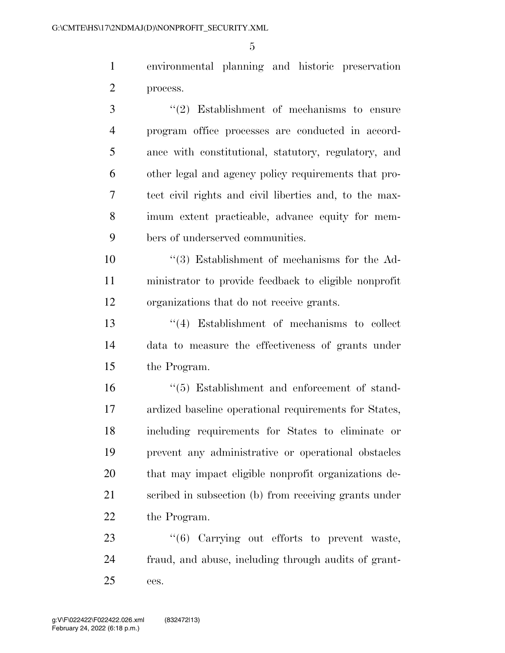environmental planning and historic preservation process.

 ''(2) Establishment of mechanisms to ensure program office processes are conducted in accord- ance with constitutional, statutory, regulatory, and other legal and agency policy requirements that pro- tect civil rights and civil liberties and, to the max- imum extent practicable, advance equity for mem-bers of underserved communities.

 ''(3) Establishment of mechanisms for the Ad- ministrator to provide feedback to eligible nonprofit organizations that do not receive grants.

 ''(4) Establishment of mechanisms to collect data to measure the effectiveness of grants under the Program.

 ''(5) Establishment and enforcement of stand- ardized baseline operational requirements for States, including requirements for States to eliminate or prevent any administrative or operational obstacles that may impact eligible nonprofit organizations de- scribed in subsection (b) from receiving grants under the Program.

23  $\frac{1}{6}$  Carrying out efforts to prevent waste, fraud, and abuse, including through audits of grant-ees.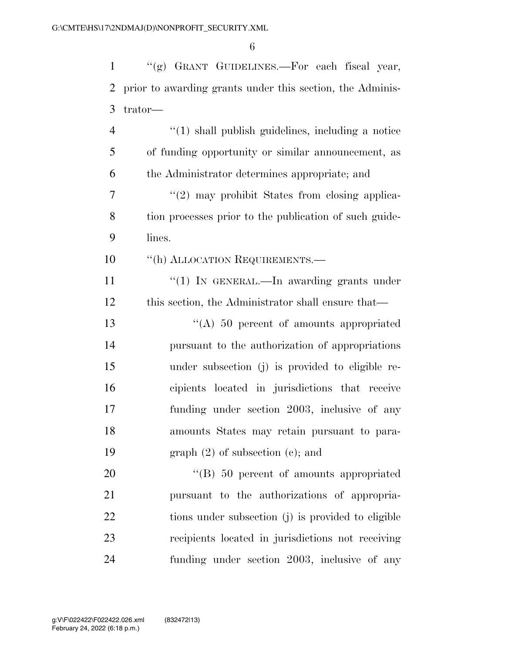''(g) GRANT GUIDELINES.—For each fiscal year, prior to awarding grants under this section, the Adminis- trator— ''(1) shall publish guidelines, including a notice of funding opportunity or similar announcement, as the Administrator determines appropriate; and  $\frac{1}{2}$  may prohibit States from closing applica-

 tion processes prior to the publication of such guide-lines.

10 "(h) ALLOCATION REQUIREMENTS.—

11 "(1) IN GENERAL.—In awarding grants under this section, the Administrator shall ensure that—

 ''(A) 50 percent of amounts appropriated pursuant to the authorization of appropriations under subsection (j) is provided to eligible re- cipients located in jurisdictions that receive funding under section 2003, inclusive of any amounts States may retain pursuant to para-graph (2) of subsection (c); and

20 "'(B) 50 percent of amounts appropriated pursuant to the authorizations of appropria- tions under subsection (j) is provided to eligible recipients located in jurisdictions not receiving funding under section 2003, inclusive of any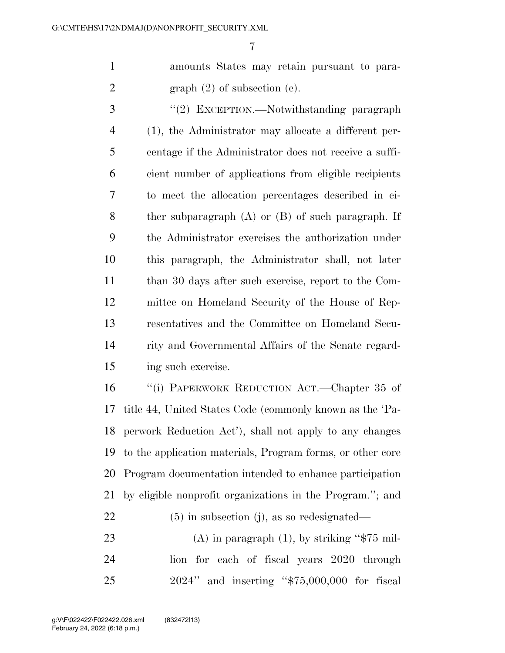amounts States may retain pursuant to para-2 graph  $(2)$  of subsection  $(e)$ .

3 "(2) EXCEPTION.—Notwithstanding paragraph (1), the Administrator may allocate a different per- centage if the Administrator does not receive a suffi- cient number of applications from eligible recipients to meet the allocation percentages described in ei- ther subparagraph (A) or (B) of such paragraph. If the Administrator exercises the authorization under this paragraph, the Administrator shall, not later than 30 days after such exercise, report to the Com- mittee on Homeland Security of the House of Rep- resentatives and the Committee on Homeland Secu- rity and Governmental Affairs of the Senate regard-ing such exercise.

 ''(i) PAPERWORK REDUCTION ACT.—Chapter 35 of title 44, United States Code (commonly known as the 'Pa- perwork Reduction Act'), shall not apply to any changes to the application materials, Program forms, or other core Program documentation intended to enhance participation by eligible nonprofit organizations in the Program.''; and

(5) in subsection (j), as so redesignated—

23 (A) in paragraph  $(1)$ , by striking "\$75 mil- lion for each of fiscal years 2020 through 2024'' and inserting ''\$75,000,000 for fiscal